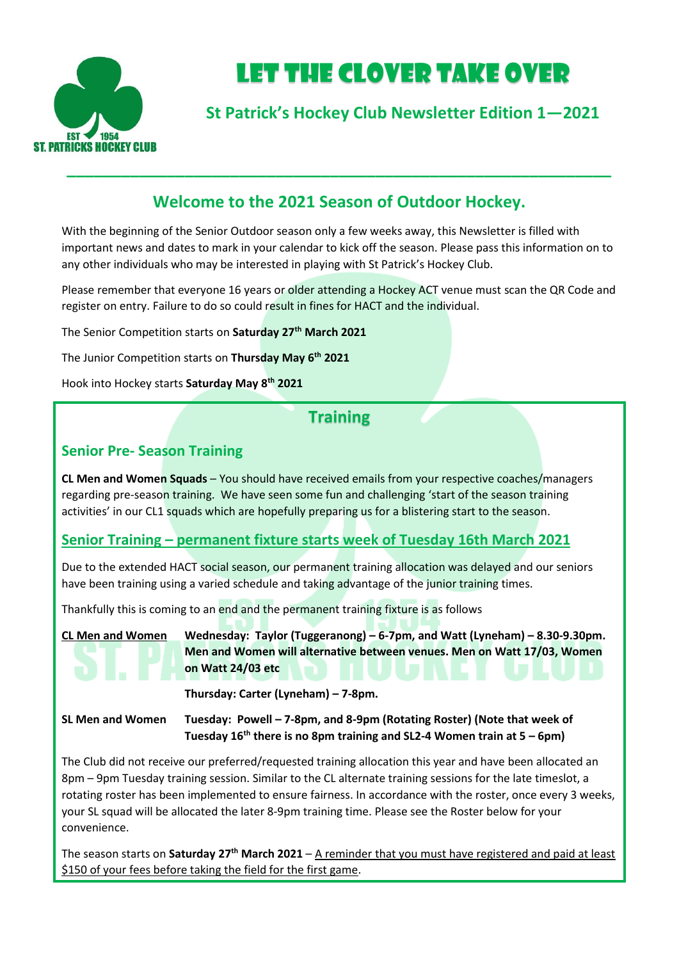

# LET THE Clover Take Over

**St Patrick's Hockey Club Newsletter Edition 1—2021**

## **Welcome to the 2021 Season of Outdoor Hockey.**

**\_\_\_\_\_\_\_\_\_\_\_\_\_\_\_\_\_\_\_\_\_\_\_\_\_\_\_\_\_\_\_\_\_\_\_\_\_\_\_\_\_\_\_\_\_\_\_\_\_\_\_\_\_\_\_\_\_\_\_\_**

With the beginning of the Senior Outdoor season only a few weeks away, this Newsletter is filled with important news and dates to mark in your calendar to kick off the season. Please pass this information on to any other individuals who may be interested in playing with St Patrick's Hockey Club.

Please remember that everyone 16 years or older attending a Hockey ACT venue must scan the QR Code and register on entry. Failure to do so could result in fines for HACT and the individual.

The Senior Competition starts on **Saturday 27th March 2021**

The Junior Competition starts on **Thursday May 6th 2021**

Hook into Hockey starts **Saturday May 8 th 2021**

## **Training**

#### **Senior Pre- Season Training**

**CL Men and Women Squads** – You should have received emails from your respective coaches/managers regarding pre-season training. We have seen some fun and challenging 'start of the season training activities' in our CL1 squads which are hopefully preparing us for a blistering start to the season.

### **Senior Training – permanent fixture starts week of Tuesday 16th March 2021**

Due to the extended HACT social season, our permanent training allocation was delayed and our seniors have been training using a varied schedule and taking advantage of the junior training times.

Thankfully this is coming to an end and the permanent training fixture is as follows



**CL Men and Women Wednesday: Taylor (Tuggeranong) – 6-7pm, and Watt (Lyneham) – 8.30-9.30pm. Men and Women will alternative between venues. Men on Watt 17/03, Women on Watt 24/03 etc**

**Thursday: Carter (Lyneham) – 7-8pm.**

**SL Men and Women Tuesday: Powell – 7-8pm, and 8-9pm (Rotating Roster) (Note that week of Tuesday 16th there is no 8pm training and SL2-4 Women train at 5 – 6pm)**

The Club did not receive our preferred/requested training allocation this year and have been allocated an 8pm – 9pm Tuesday training session. Similar to the CL alternate training sessions for the late timeslot, a rotating roster has been implemented to ensure fairness. In accordance with the roster, once every 3 weeks, your SL squad will be allocated the later 8-9pm training time. Please see the Roster below for your convenience.

The season starts on **Saturday 27th March 2021** – A reminder that you must have registered and paid at least \$150 of your fees before taking the field for the first game.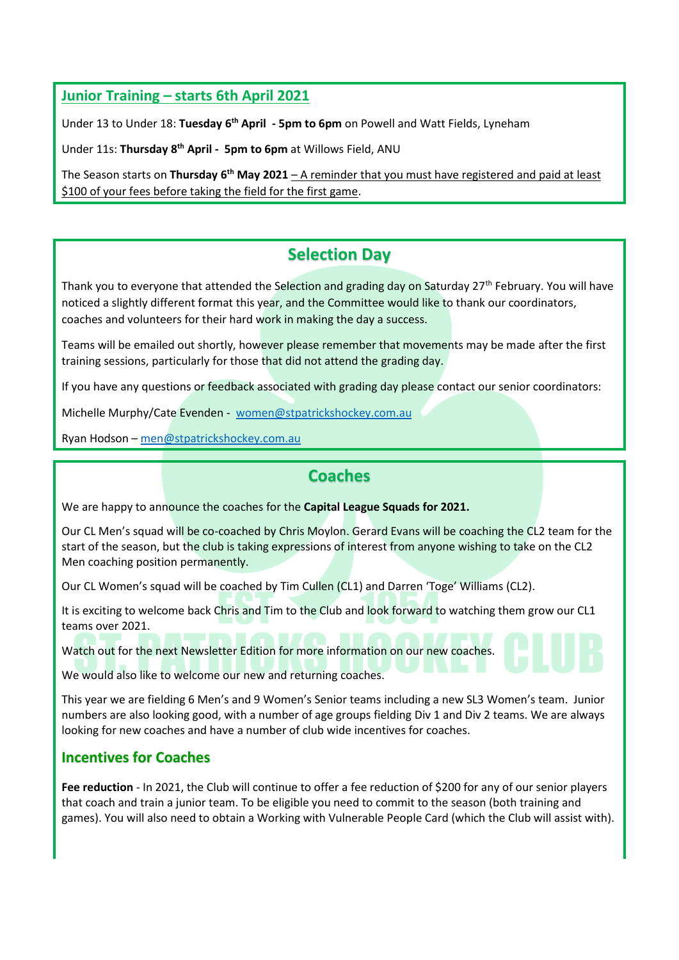#### **Junior Training – starts 6th April 2021**

Under 13 to Under 18: **Tuesday 6 th April - 5pm to 6pm** on Powell and Watt Fields, Lyneham

Under 11s: **Thursday 8 th April - 5pm to 6pm** at Willows Field, ANU

The Season starts on **Thursday 6th May 2021** – A reminder that you must have registered and paid at least \$100 of your fees before taking the field for the first game.

# **Selection Day**

Thank you to everyone that attended the Selection and grading day on Saturday 27<sup>th</sup> February. You will have noticed a slightly different format this year, and the Committee would like to thank our coordinators, coaches and volunteers for their hard work in making the day a success.

Teams will be emailed out shortly, however please remember that movements may be made after the first training sessions, particularly for those that did not attend the grading day.

If you have any questions or feedback associated with grading day please contact our senior coordinators:

Michelle Murphy/Cate Evenden - [women@stpatrickshockey.com.au](mailto:women@stpatrickshockey.com.au)

Ryan Hodson – [men@stpatrickshockey.com.au](mailto:men@stpatrickshockey.com.au)

### **Coaches**

We are happy to announce the coaches for the **Capital League Squads for 2021.**

Our CL Men's squad will be co-coached by Chris Moylon. Gerard Evans will be coaching the CL2 team for the start of the season, but the club is taking expressions of interest from anyone wishing to take on the CL2 Men coaching position permanently.

Our CL Women's squad will be coached by Tim Cullen (CL1) and Darren 'Toge' Williams (CL2).

It is exciting to welcome back Chris and Tim to the Club and look forward to watching them grow our CL1 teams over 2021.

Watch out for the next Newsletter Edition for more information on our new coaches.

We would also like to welcome our new and returning coaches.

This year we are fielding 6 Men's and 9 Women's Senior teams including a new SL3 Women's team. Junior numbers are also looking good, with a number of age groups fielding Div 1 and Div 2 teams. We are always looking for new coaches and have a number of club wide incentives for coaches.

#### **Incentives for Coaches**

**Fee reduction** - In 2021, the Club will continue to offer a fee reduction of \$200 for any of our senior players that coach and train a junior team. To be eligible you need to commit to the season (both training and games). You will also need to obtain a Working with Vulnerable People Card (which the Club will assist with).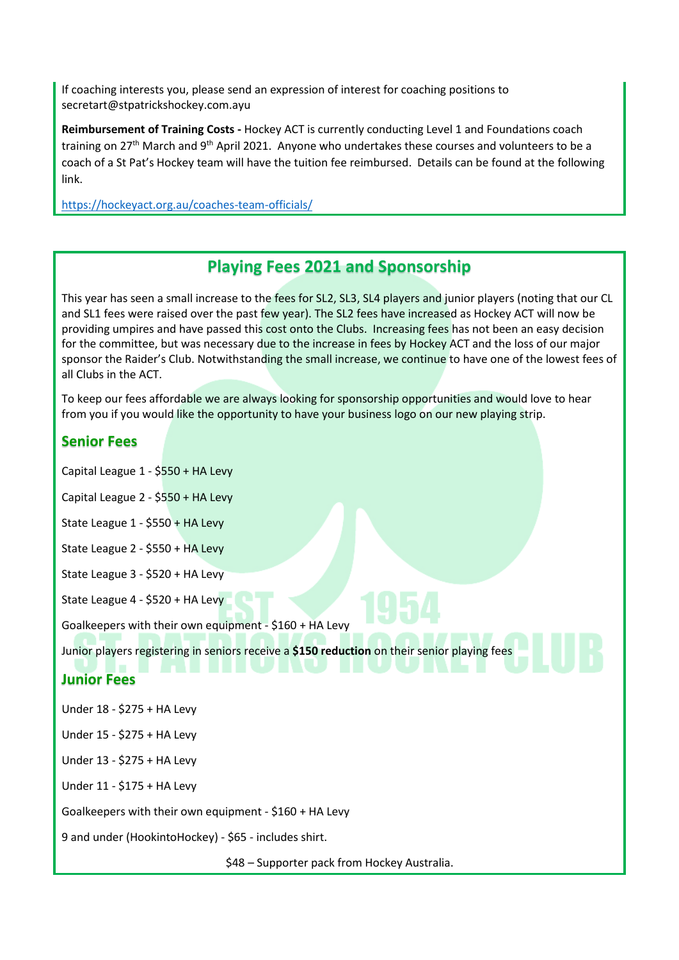If coaching interests you, please send an expression of interest for coaching positions to secretart@stpatrickshockey.com.ayu

**Reimbursement of Training Costs -** Hockey ACT is currently conducting Level 1 and Foundations coach training on 27<sup>th</sup> March and 9<sup>th</sup> April 2021. Anyone who undertakes these courses and volunteers to be a coach of a St Pat's Hockey team will have the tuition fee reimbursed. Details can be found at the following link.

<https://hockeyact.org.au/coaches-team-officials/>

## **Playing Fees 2021 and Sponsorship**

This year has seen a small increase to the fees for SL2, SL3, SL4 players and junior players (noting that our CL and SL1 fees were raised over the past few year). The SL2 fees have increased as Hockey ACT will now be providing umpires and have passed this cost onto the Clubs. Increasing fees has not been an easy decision for the committee, but was necessary due to the increase in fees by Hockey ACT and the loss of our major sponsor the Raider's Club. Notwithstanding the small increase, we continue to have one of the lowest fees of all Clubs in the ACT.

To keep our fees affordable we are always looking for sponsorship opportunities and would love to hear from you if you would like the opportunity to have your business logo on our new playing strip.

#### **Senior Fees**

Capital League 1 - \$550 + HA Levy

Capital League 2 - \$550 + HA Levy

State League 1 - \$550 + HA Levy

State League 2 - \$550 + HA Levy

State League 3 - \$520 + HA Levy

State League 4 - \$520 + HA Levy

Goalkeepers with their own equipment - \$160 + HA Levy

Junior players registering in seniors receive a **\$150 reduction** on their senior playing fees

#### **Junior Fees**

Under 18 - \$275 + HA Levy

Under 15 - \$275 + HA Levy

Under 13 - \$275 + HA Levy

Under 11 - \$175 + HA Levy

Goalkeepers with their own equipment - \$160 + HA Levy

9 and under (HookintoHockey) - \$65 - includes shirt.

\$48 – Supporter pack from Hockey Australia.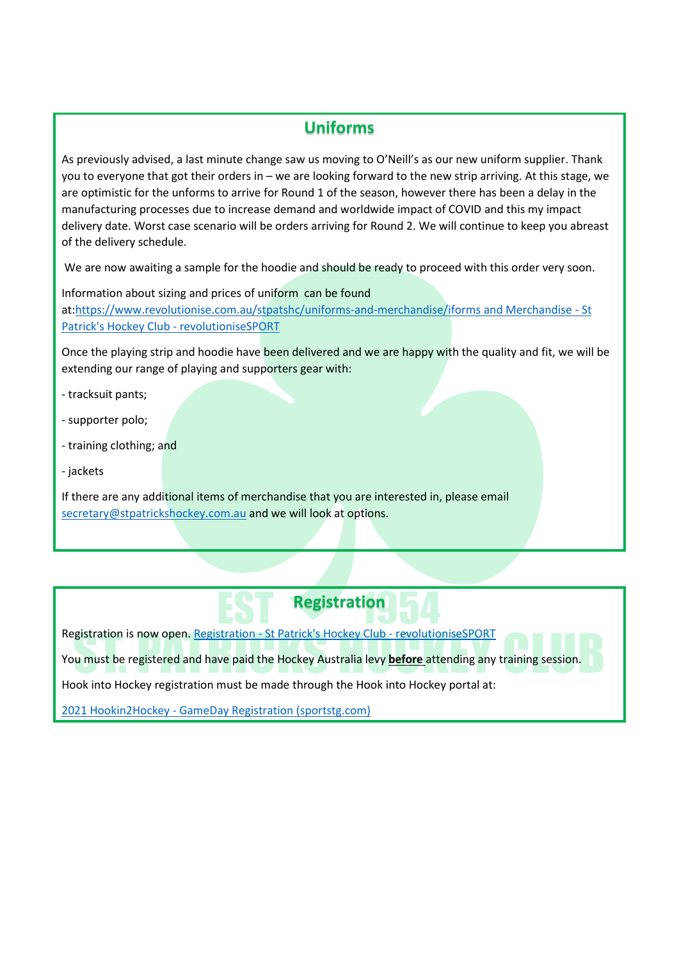## **Uniforms**

As previously advised, a last minute change saw us moving to O'Neill's as our new uniform supplier. Thank you to everyone that got their orders in – we are looking forward to the new strip arriving. At this stage, we are optimistic for the unforms to arrive for Round 1 of the season, however there has been a delay in the manufacturing processes due to increase demand and worldwide impact of COVID and this my impact delivery date. Worst case scenario will be orders arriving for Round 2. We will continue to keep you abreast of the delivery schedule.

We are now awaiting a sample for the hoodie and should be ready to proceed with this order very soon.

Information about sizing and prices of uniform can be found at[:https://www.revolutionise.com.au/stpatshc/uniforms-and-merchandise/iforms and Merchandise -](https://www.revolutionise.com.au/stpatshc/uniforms-and-merchandise/iforms%20and%20Merchandise%20-%20St%20Patrick) St [Patrick's Hockey Club -](https://www.revolutionise.com.au/stpatshc/uniforms-and-merchandise/iforms%20and%20Merchandise%20-%20St%20Patrick) revolutioniseSPORT

Once the playing strip and hoodie have been delivered and we are happy with the quality and fit, we will be extending our range of playing and supporters gear with:

- tracksuit pants;
- supporter polo;
- training clothing; and
- jackets

If there are any additional items of merchandise that you are interested in, please email [secretary@stpatrickshockey.com.au](mailto:secretary@stpatrickshockey.com.au) and we will look at options.

# **Registration**

Registration is now open. Registration - [St Patrick's Hockey Club -](https://www.revolutionise.com.au/stpatshc/registration/) revolutioniseSPORT

You must be registered and have paid the Hockey Australia levy **before** attending any training session.

Hook into Hockey registration must be made through the Hook into Hockey portal at:

2021 Hookin2Hockey - [GameDay Registration \(sportstg.com\)](https://membership.sportstg.com/regoform.cgi?formID=61750&programID=52312)